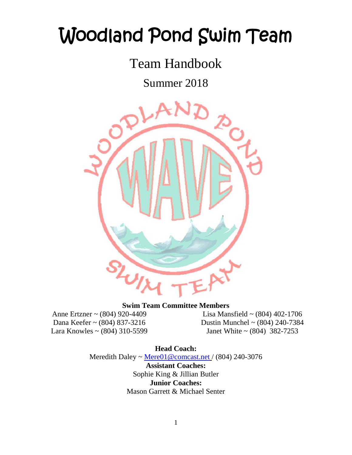# Woodland Pond Swim Team

Team Handbook

Summer 2018



#### **Swim Team Committee Members**

Anne Ertzner ~ (804) 920-4409 Dana Keefer ~ (804) 837-3216 Lara Knowles ~ (804) 310-5599

Lisa Mansfield ~ (804) 402-1706 Dustin Munchel ~ (804) 240-7384 Janet White ~ (804) 382-7253

**Head Coach:** Meredith Daley ~ [Mere01@comcast.net](mailto:Mere01@comcast.net) / (804) 240-3076

> **Assistant Coaches:** Sophie King & Jillian Butler **Junior Coaches:**  Mason Garrett & Michael Senter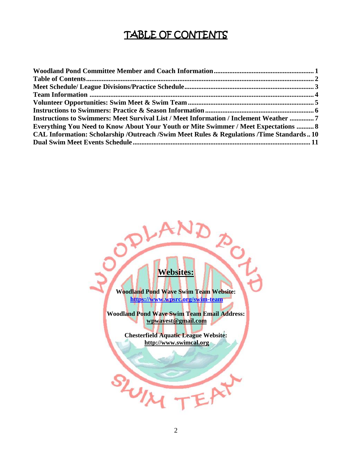# TABLE OF CONTENTS

| Instructions to Swimmers: Meet Survival List / Meet Information / Inclement Weather  7  |  |
|-----------------------------------------------------------------------------------------|--|
| Everything You Need to Know About Your Youth or Mite Swimmer / Meet Expectations  8     |  |
| CAL Information: Scholarship /Outreach /Swim Meet Rules & Regulations /Time Standards10 |  |
|                                                                                         |  |

# **Websites:**

**POL** 

 $\mathbf{x}$ 

**Woodland Pond Wave Swim Team Website: <https://www.wpsrc.org/swim-team>**

**Woodland Pond Wave Swim Team Email Address: [wpwavest@gmail.com](mailto:wpwavest@gmail.com)**

> **Chesterfield Aquatic League Website: http://www.swimcal.org**

SLUIX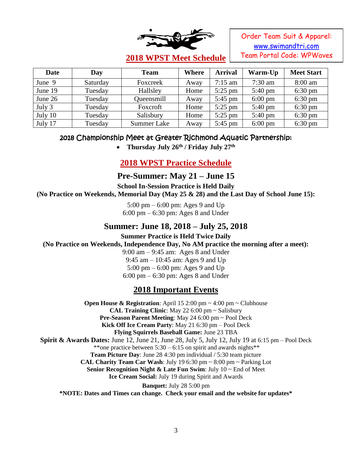

Order Team Suit & Apparel: [www.swimandtri.com](http://www.swimandtri.com/) Team Portal Code: WPWaves

# **2018 WPST Meet Schedule**

| <b>Date</b> | Day      | <b>Team</b> | Where | <b>Arrival</b>    | Warm-Up           | <b>Meet Start</b> |
|-------------|----------|-------------|-------|-------------------|-------------------|-------------------|
| June 9      | Saturday | Foxcreek    | Away  | $7:15$ am         | $7:30$ am         | 8:00 am           |
| June 19     | Tuesday  | Hallsley    | Home  | $5:25$ pm         | $5:40 \text{ pm}$ | $6:30 \text{ pm}$ |
| June 26     | Tuesday  | Queensmill  | Away  | $5:45$ pm         | $6:00 \text{ pm}$ | $6:30 \text{ pm}$ |
| July 3      | Tuesday  | Foxcroft    | Home  | $5:25$ pm         | $5:40 \text{ pm}$ | $6:30 \text{ pm}$ |
| July 10     | Tuesday  | Salisbury   | Home  | $5:25$ pm         | $5:40 \text{ pm}$ | $6:30 \text{ pm}$ |
| July 17     | Tuesday  | Summer Lake | Away  | $5:45 \text{ pm}$ | $6:00 \text{ pm}$ | $6:30 \text{ pm}$ |

### 2018 Championship Meet at Greater Richmond Aquatic Partnership:

• Thursday July 26<sup>th</sup> / Friday July 27<sup>th</sup>

# **2018 WPST Practice Schedule**

# **Pre-Summer: May 21 – June 15**

**School In-Session Practice is Held Daily** 

**(No Practice on Weekends, Memorial Day (May 25 & 28) and the Last Day of School June 15):**

5:00 pm – 6:00 pm: Ages 9 and Up 6:00 pm – 6:30 pm: Ages 8 and Under

### **Summer: June 18, 2018 – July 25, 2018**

**Summer Practice is Held Twice Daily** 

**(No Practice on Weekends, Independence Day, No AM practice the morning after a meet):**

9:00 am – 9:45 am: Ages 8 and Under

9:45 am – 10:45 am: Ages 9 and Up 5:00 pm – 6:00 pm: Ages 9 and Up

6:00 pm – 6:30 pm: Ages 8 and Under

# **2018 Important Events**

**Open House & Registration**: April 15 2:00 pm ~ 4:00 pm ~ Clubhouse **CAL Training Clinic**: May 22 6:00 pm ~ Salisbury **Pre-Season Parent Meeting**: May 24 6:00 pm ~ Pool Deck **Kick Off Ice Cream Party**: May 21 6:30 pm – Pool Deck **Flying Squirrels Baseball Game:** June 23 TBA **Spirit & Awards Dates:** June 12, June 21, June 28, July 5, July 12, July 19 at 6:15 pm – Pool Deck \*\*one practice between  $5:30 - 6:15$  on spirit and awards nights\*\* **Team Picture Day**: June 28 4:30 pm individual / 5:30 team picture **CAL Charity Team Car Wash**: July 19 6:30 pm ~ 8:00 pm ~ Parking Lot **Senior Recognition Night & Late Fun Swim**: July 10 ~ End of Meet **Ice Cream Social:** July 19 during Spirit and Awards **Banquet:** July 28 5:00 pm **\*NOTE: Dates and Times can change. Check your email and the website for updates\***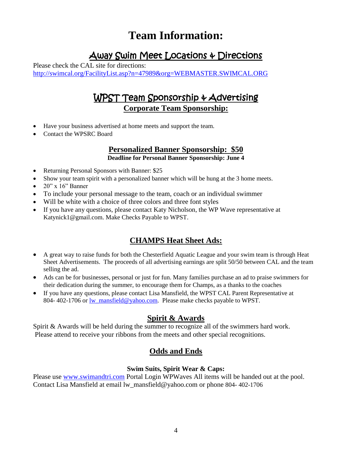# **Team Information:**

# Away Swim Meet Locations & Directions

Please check the CAL site for directions: <http://swimcal.org/FacilityList.asp?n=47989&org=WEBMASTER.SWIMCAL.ORG>

# WPST Team Sponsorship & Advertising **Corporate Team Sponsorship:**

- Have your business advertised at home meets and support the team.
- Contact the WPSRC Board

# **Personalized Banner Sponsorship: \$50**

**Deadline for Personal Banner Sponsorship: June 4**

- Returning Personal Sponsors with Banner: \$25
- Show your team spirit with a personalized banner which will be hung at the 3 home meets.
- $\bullet$  20" x 16" Banner
- To include your personal message to the team, coach or an individual swimmer
- Will be white with a choice of three colors and three font styles
- If you have any questions, please contact Katy Nicholson, the WP Wave representative at Katynick1@gmail.com. Make Checks Payable to WPST.

### **CHAMPS Heat Sheet Ads:**

- A great way to raise funds for both the Chesterfield Aquatic League and your swim team is through Heat Sheet Advertisements. The proceeds of all advertising earnings are split 50/50 between CAL and the team selling the ad.
- Ads can be for businesses, personal or just for fun. Many families purchase an ad to praise swimmers for their dedication during the summer, to encourage them for Champs, as a thanks to the coaches
- If you have any questions, please contact Lisa Mansfield, the WPST CAL Parent Representative at 804- 402-1706 or <u>lw\_mansfield@yahoo.com</u>. Please make checks payable to WPST.

### **Spirit & Awards**

Spirit & Awards will be held during the summer to recognize all of the swimmers hard work. Please attend to receive your ribbons from the meets and other special recognitions.

### **Odds and Ends**

#### **Swim Suits, Spirit Wear & Caps:**

Please use [www.swimandtri.com](http://www.swimandtri.com/) Portal Login WPWaves All items will be handed out at the pool. Contact Lisa Mansfield at email lw\_mansfield@yahoo.com or phone 804- 402-1706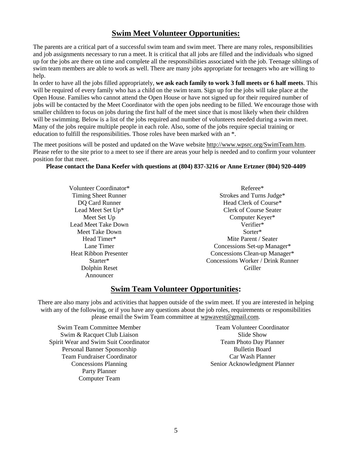#### **Swim Meet Volunteer Opportunities:**

The parents are a critical part of a successful swim team and swim meet. There are many roles, responsibilities and job assignments necessary to run a meet. It is critical that all jobs are filled and the individuals who signed up for the jobs are there on time and complete all the responsibilities associated with the job. Teenage siblings of swim team members are able to work as well. There are many jobs appropriate for teenagers who are willing to help.

In order to have all the jobs filled appropriately, **we ask each family to work 3 full meets or 6 half meets**. This will be required of every family who has a child on the swim team. Sign up for the jobs will take place at the Open House. Families who cannot attend the Open House or have not signed up for their required number of jobs will be contacted by the Meet Coordinator with the open jobs needing to be filled. We encourage those with smaller children to focus on jobs during the first half of the meet since that is most likely when their children will be swimming. Below is a list of the jobs required and number of volunteers needed during a swim meet. Many of the jobs require multiple people in each role. Also, some of the jobs require special training or education to fulfill the responsibilities. Those roles have been marked with an \*.

The meet positions will be posted and updated on the Wave website [http://www.wpsrc.org/SwimTeam.htm.](http://www.wpsrc.org/SwimTeam.htm) Please refer to the site prior to a meet to see if there are areas your help is needed and to confirm your volunteer position for that meet.

#### **Please contact the Dana Keefer with questions at (804) 837-3216 or Anne Ertzner (804) 920-4409**

Volunteer Coordinator\* Timing Sheet Runner DQ Card Runner Lead Meet Set Up\* Meet Set Up Lead Meet Take Down Meet Take Down Head Timer\* Lane Timer Heat Ribbon Presenter Starter\* Dolphin Reset Announcer

Referee\* Strokes and Turns Judge\* Head Clerk of Course\* Clerk of Course Seater Computer Keyer\* Verifier\* Sorter\* Mite Parent / Seater Concessions Set-up Manager\* Concessions Clean-up Manager\* Concessions Worker / Drink Runner Griller

#### **Swim Team Volunteer Opportunities:**

There are also many jobs and activities that happen outside of the swim meet. If you are interested in helping with any of the following, or if you have any questions about the job roles, requirements or responsibilities please email the Swim Team committee at [wpwavest@gmail.com.](mailto:wpwavest@gmail.com)

Swim Team Committee Member Swim & Racquet Club Liaison Spirit Wear and Swim Suit Coordinator Personal Banner Sponsorship Team Fundraiser Coordinator Concessions Planning Party Planner Computer Team

Team Volunteer Coordinator Slide Show Team Photo Day Planner Bulletin Board Car Wash Planner Senior Acknowledgment Planner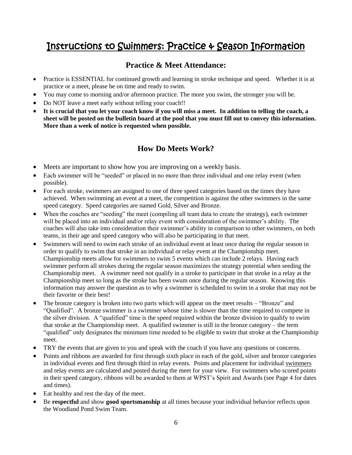# Instructions to Swimmers: Practice & Season Information

#### **Practice & Meet Attendance:**

- Practice is ESSENTIAL for continued growth and learning in stroke technique and speed. Whether it is at practice or a meet, please be on time and ready to swim.
- You may come to morning and/or afternoon practice. The more you swim, the stronger you will be.
- Do NOT leave a meet early without telling your coach!!
- **It is crucial that you let your coach know if you will miss a meet. In addition to telling the coach, a sheet will be posted on the bulletin board at the pool that you must fill out to convey this information. More than a week of notice is requested when possible.**

### **How Do Meets Work?**

- Meets are important to show how you are improving on a weekly basis.
- Each swimmer will be "seeded" or placed in no more than three individual and one relay event (when possible).
- For each stroke, swimmers are assigned to one of three speed categories based on the times they have achieved. When swimming an event at a meet, the competition is against the other swimmers in the same speed category. Speed categories are named Gold, Silver and Bronze.
- When the coaches are "seeding" the meet (compiling all team data to create the strategy), each swimmer will be placed into an individual and/or relay event with consideration of the swimmer's ability. The coaches will also take into consideration their swimmer's ability in comparison to other swimmers, on both teams, in their age and speed category who will also be participating in that meet.
- Swimmers will need to swim each stroke of an individual event at least once during the regular season in order to qualify to swim that stroke in an individual or relay event at the Championship meet. Championship meets allow for swimmers to swim 5 events which can include 2 relays. Having each swimmer perform all strokes during the regular season maximizes the strategy potential when seeding the Championship meet. A swimmer need not qualify in a stroke to participate in that stroke in a relay at the Championship meet so long as the stroke has been swum once during the regular season. Knowing this information may answer the question as to why a swimmer is scheduled to swim in a stroke that may not be their favorite or their best!
- The bronze category is broken into two parts which will appear on the meet results "Bronze" and "Qualified". A bronze swimmer is a swimmer whose time is slower than the time required to compete in the silver division. A "qualified" time is the speed required within the bronze division to qualify to swim that stroke at the Championship meet. A qualified swimmer is still in the bronze category – the term "qualified" only designates the minimum time needed to be eligible to swim that stroke at the Championship meet.
- TRY the events that are given to you and speak with the coach if you have any questions or concerns.
- Points and ribbons are awarded for first through sixth place in each of the gold, silver and bronze categories in individual events and first through third in relay events. Points and placement for individual swimmers and relay events are calculated and posted during the meet for your view. For swimmers who scored points in their speed category, ribbons will be awarded to them at WPST's Spirit and Awards (see Page 4 for dates and times).
- Eat healthy and rest the day of the meet.
- Be **respectful** and show **good sportsmanship** at all times because your individual behavior reflects upon the Woodland Pond Swim Team.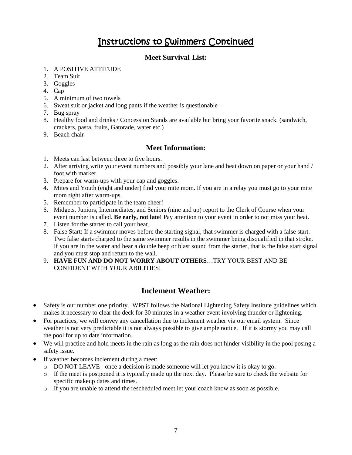# Instructions to Swimmers Continued

#### **Meet Survival List:**

#### 1. A POSITIVE ATTITUDE

- 2. Team Suit
- 3. Goggles
- 4. Cap
- 5. A minimum of two towels
- 6. Sweat suit or jacket and long pants if the weather is questionable
- 7. Bug spray
- 8. Healthy food and drinks / Concession Stands are available but bring your favorite snack. (sandwich, crackers, pasta, fruits, Gatorade, water etc.)
- 9. Beach chair

#### **Meet Information:**

- 1. Meets can last between three to five hours.
- 2. After arriving write your event numbers and possibly your lane and heat down on paper or your hand / foot with marker.
- 3. Prepare for warm-ups with your cap and goggles.
- 4. Mites and Youth (eight and under) find your mite mom. If you are in a relay you must go to your mite mom right after warm-ups.
- 5. Remember to participate in the team cheer!
- 6. Midgets, Juniors, Intermediates, and Seniors (nine and up) report to the Clerk of Course when your event number is called. **Be early, not late**! Pay attention to your event in order to not miss your heat.
- 7. Listen for the starter to call your heat.
- 8. False Start: If a swimmer moves before the starting signal, that swimmer is charged with a false start. Two false starts charged to the same swimmer results in the swimmer being disqualified in that stroke. If you are in the water and hear a double beep or blast sound from the starter, that is the false start signal and you must stop and return to the wall.
- 9. **HAVE FUN AND DO NOT WORRY ABOUT OTHERS**…TRY YOUR BEST AND BE CONFIDENT WITH YOUR ABILITIES!

### **Inclement Weather:**

- Safety is our number one priority. WPST follows the National Lightening Safety Institute guidelines which makes it necessary to clear the deck for 30 minutes in a weather event involving thunder or lightening.
- For practices, we will convey any cancellation due to inclement weather via our email system. Since weather is not very predictable it is not always possible to give ample notice. If it is stormy you may call the pool for up to date information.
- We will practice and hold meets in the rain as long as the rain does not hinder visibility in the pool posing a safety issue.
- If weather becomes inclement during a meet:
	- o DO NOT LEAVE once a decision is made someone will let you know it is okay to go.
	- $\circ$  If the meet is postponed it is typically made up the next day. Please be sure to check the website for specific makeup dates and times.
	- o If you are unable to attend the rescheduled meet let your coach know as soon as possible.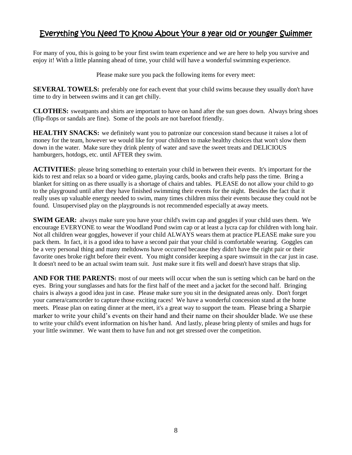# Everything You Need To Know About Your 8 year old or younger Swimmer

For many of you, this is going to be your first swim team experience and we are here to help you survive and enjoy it! With a little planning ahead of time, your child will have a wonderful swimming experience.

Please make sure you pack the following items for every meet:

**SEVERAL TOWELS:** preferably one for each event that your child swims because they usually don't have time to dry in between swims and it can get chilly.

**CLOTHES:** sweatpants and shirts are important to have on hand after the sun goes down. Always bring shoes (flip-flops or sandals are fine). Some of the pools are not barefoot friendly.

**HEALTHY SNACKS:** we definitely want you to patronize our concession stand because it raises a lot of money for the team, however we would like for your children to make healthy choices that won't slow them down in the water. Make sure they drink plenty of water and save the sweet treats and DELICIOUS hamburgers, hotdogs, etc. until AFTER they swim.

**ACTIVITIES:** please bring something to entertain your child in between their events. It's important for the kids to rest and relax so a board or video game, playing cards, books and crafts help pass the time. Bring a blanket for sitting on as there usually is a shortage of chairs and tables. PLEASE do not allow your child to go to the playground until after they have finished swimming their events for the night. Besides the fact that it really uses up valuable energy needed to swim, many times children miss their events because they could not be found. Unsupervised play on the playgrounds is not recommended especially at away meets.

**SWIM GEAR:** always make sure you have your child's swim cap and goggles if your child uses them. We encourage EVERYONE to wear the Woodland Pond swim cap or at least a lycra cap for children with long hair. Not all children wear goggles, however if your child ALWAYS wears them at practice PLEASE make sure you pack them. In fact, it is a good idea to have a second pair that your child is comfortable wearing. Goggles can be a very personal thing and many meltdowns have occurred because they didn't have the right pair or their favorite ones broke right before their event. You might consider keeping a spare swimsuit in the car just in case. It doesn't need to be an actual swim team suit. Just make sure it fits well and doesn't have straps that slip.

**AND FOR THE PARENTS:** most of our meets will occur when the sun is setting which can be hard on the eyes. Bring your sunglasses and hats for the first half of the meet and a jacket for the second half. Bringing chairs is always a good idea just in case. Please make sure you sit in the designated areas only. Don't forget your camera/camcorder to capture those exciting races! We have a wonderful concession stand at the home meets. Please plan on eating dinner at the meet, it's a great way to support the team. Please bring a Sharpie marker to write your child's events on their hand and their name on their shoulder blade. We use these to write your child's event information on his/her hand. And lastly, please bring plenty of smiles and hugs for your little swimmer. We want them to have fun and not get stressed over the competition.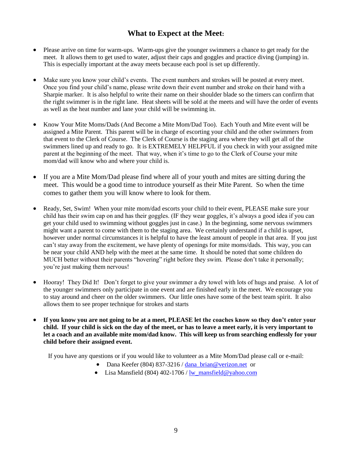### **What to Expect at the Meet:**

- Please arrive on time for warm-ups. Warm-ups give the younger swimmers a chance to get ready for the meet. It allows them to get used to water, adjust their caps and goggles and practice diving (jumping) in. This is especially important at the away meets because each pool is set up differently.
- Make sure you know your child's events. The event numbers and strokes will be posted at every meet. Once you find your child's name, please write down their event number and stroke on their hand with a Sharpie marker. It is also helpful to write their name on their shoulder blade so the timers can confirm that the right swimmer is in the right lane. Heat sheets will be sold at the meets and will have the order of events as well as the heat number and lane your child will be swimming in.
- Know Your Mite Moms/Dads (And Become a Mite Mom/Dad Too). Each Youth and Mite event will be assigned a Mite Parent. This parent will be in charge of escorting your child and the other swimmers from that event to the Clerk of Course. The Clerk of Course is the staging area where they will get all of the swimmers lined up and ready to go. It is EXTREMELY HELPFUL if you check in with your assigned mite parent at the beginning of the meet. That way, when it's time to go to the Clerk of Course your mite mom/dad will know who and where your child is.
- If you are a Mite Mom/Dad please find where all of your youth and mites are sitting during the meet. This would be a good time to introduce yourself as their Mite Parent. So when the time comes to gather them you will know where to look for them.
- Ready, Set, Swim! When your mite mom/dad escorts your child to their event, PLEASE make sure your child has their swim cap on and has their goggles. (IF they wear goggles, it's always a good idea if you can get your child used to swimming without goggles just in case.) In the beginning, some nervous swimmers might want a parent to come with them to the staging area. We certainly understand if a child is upset, however under normal circumstances it is helpful to have the least amount of people in that area. If you just can't stay away from the excitement, we have plenty of openings for mite moms/dads. This way, you can be near your child AND help with the meet at the same time. It should be noted that some children do MUCH better without their parents "hovering" right before they swim. Please don't take it personally; you're just making them nervous!
- Hooray! They Did It! Don't forget to give your swimmer a dry towel with lots of hugs and praise. A lot of the younger swimmers only participate in one event and are finished early in the meet. We encourage you to stay around and cheer on the older swimmers. Our little ones have some of the best team spirit. It also allows them to see proper technique for strokes and starts
- **If you know you are not going to be at a meet, PLEASE let the coaches know so they don't enter your child. If your child is sick on the day of the meet, or has to leave a meet early, it is very important to let a coach and an available mite mom/dad know. This will keep us from searching endlessly for your child before their assigned event.**

If you have any questions or if you would like to volunteer as a Mite Mom/Dad please call or e-mail:

- Dana Keefer (804) 837-3216 / [dana\\_brian@verizon.net](mailto:dana_brian@verizon.net) or
- Lisa Mansfield (804) 402-1706 /  $lw$  mansfield @yahoo.com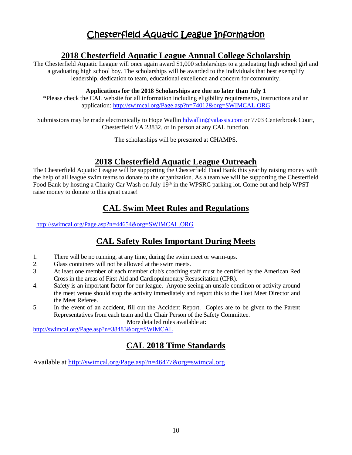# Chesterfield Aquatic League Information

### **2018 Chesterfield Aquatic League Annual College Scholarship**

The Chesterfield Aquatic League will once again award \$1,000 scholarships to a graduating high school girl and a graduating high school boy. The scholarships will be awarded to the individuals that best exemplify leadership, dedication to team, educational excellence and concern for community.

#### **Applications for the 2018 Scholarships are due no later than July 1**

\*Please check the CAL website for all information including eligibility requirements, instructions and an application: <http://swimcal.org/Page.asp?n=74012&org=SWIMCAL.ORG>

Submissions may be made electronically to Hope Walli[n hdwallin@valassis.com](mailto:hdwallin@valassis.com) or 7703 Centerbrook Court, Chesterfield VA 23832, or in person at any CAL function.

The scholarships will be presented at CHAMPS.

# **2018 Chesterfield Aquatic League Outreach**

The Chesterfield Aquatic League will be supporting the Chesterfield Food Bank this year by raising money with the help of all league swim teams to donate to the organization. As a team we will be supporting the Chesterfield Food Bank by hosting a Charity Car Wash on July 19<sup>th</sup> in the WPSRC parking lot. Come out and help WPST raise money to donate to this great cause!

# **CAL Swim Meet Rules and Regulations**

<http://swimcal.org/Page.asp?n=44654&org=SWIMCAL.ORG>

# **CAL Safety Rules Important During Meets**

- 1. There will be no running, at any time, during the swim meet or warm-ups.
- 2. Glass containers will not be allowed at the swim meets.
- 3. At least one member of each member club's coaching staff must be certified by the American Red Cross in the areas of First Aid and Cardiopulmonary Resuscitation (CPR).
- 4. Safety is an important factor for our league. Anyone seeing an unsafe condition or activity around the meet venue should stop the activity immediately and report this to the Host Meet Director and the Meet Referee.
- 5. In the event of an accident, fill out the [Accident Report.](http://files.leagueathletics.com/Images/Club/9719/reports/ParticipantAccidentClaimForm.pdf) Copies are to be given to the Parent Representatives from each team and the Chair Person of the Safety Committee.

More detailed rules available at:

<http://swimcal.org/Page.asp?n=38483&org=SWIMCAL>

# **CAL 2018 Time Standards**

Available at<http://swimcal.org/Page.asp?n=46477&org=swimcal.org>